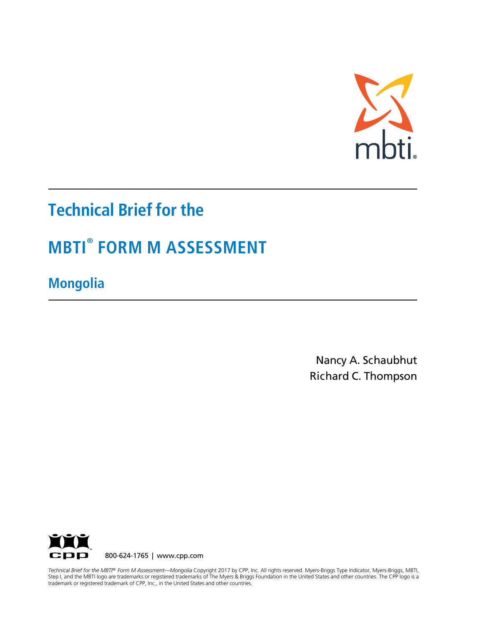

# **Technical Brief for the**

# **MBTI® FORM M ASSESSMENT**

**Mongolia**

Nancy A. Schaubhut Richard C. Thompson



 *Technical Brief for the MBTI® Form M Assessment—Mongolia* Copyright 2017 by CPP, Inc. All rights reserved. Myers-Briggs Type Indicator, Myers-Briggs, MBTI, *Technical Brief for the MBTI* 1999 are datemark of Teglocal datemarks of the Myers a Briggs reandation the onice states and other countries.<br>trademark or registered trademark of CPP, Inc., in the United States and other c Step I, and the MBTI logo are trademarks or registered trademarks of The Myers & Briggs Foundation in the United States and other countries. The CPP logo is a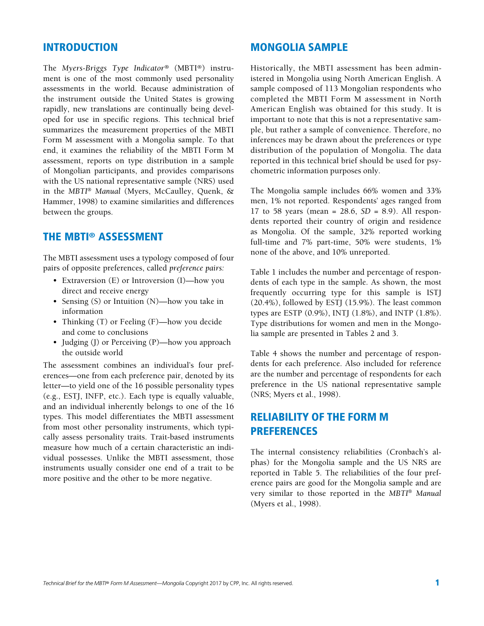#### INTRODUCTION

The *Myers-Briggs Type Indicator®* (MBTI®) instrument is one of the most commonly used personality assessments in the world. Because administration of the instrument outside the United States is growing rapidly, new translations are continually being developed for use in specific regions. This technical brief summarizes the measurement properties of the MBTI Form M assessment with a Mongolia sample. To that end, it examines the reliability of the MBTI Form M assessment, reports on type distribution in a sample of Mongolian participants, and provides comparisons with the US national representative sample (NRS) used in the *MBTI*® *Manual* (Myers, McCaulley, Quenk, & Hammer, 1998) to examine similarities and differences between the groups.

### THE MBTI® ASSESSMENT

The MBTI assessment uses a typology composed of four pairs of opposite preferences, called *preference pairs:*

- Extraversion (E) or Introversion (I)—how you direct and receive energy
- Sensing (S) or Intuition (N)—how you take in information
- Thinking (T) or Feeling (F)—how you decide and come to conclusions
- Judging (J) or Perceiving (P)—how you approach the outside world

The assessment combines an individual's four preferences—one from each preference pair, denoted by its letter—to yield one of the 16 possible personality types (e.g., ESTJ, INFP, etc.). Each type is equally valuable, and an individual inherently belongs to one of the 16 types. This model differentiates the MBTI assessment from most other personality instruments, which typically assess personality traits. Trait-based instruments measure how much of a certain characteristic an individual possesses. Unlike the MBTI assessment, those instruments usually consider one end of a trait to be more positive and the other to be more negative.

Historically, the MBTI assessment has been administered in Mongolia using North American English. A sample composed of 113 Mongolian respondents who completed the MBTI Form M assessment in North American English was obtained for this study. It is important to note that this is not a representative sample, but rather a sample of convenience. Therefore, no inferences may be drawn about the preferences or type distribution of the population of Mongolia. The data reported in this technical brief should be used for psychometric information purposes only.

The Mongolia sample includes 66% women and 33% men, 1% not reported. Respondents' ages ranged from 17 to 58 years (mean = 28.6, *SD* = 8.9). All respondents reported their country of origin and residence as Mongolia. Of the sample, 32% reported working full-time and 7% part-time, 50% were students, 1% none of the above, and 10% unreported.

Table 1 includes the number and percentage of respondents of each type in the sample. As shown, the most frequently occurring type for this sample is ISTJ (20.4%), followed by ESTJ (15.9%). The least common types are ESTP (0.9%), INTJ (1.8%), and INTP (1.8%). Type distributions for women and men in the Mongolia sample are presented in Tables 2 and 3.

Table 4 shows the number and percentage of respondents for each preference. Also included for reference are the number and percentage of respondents for each preference in the US national representative sample (NRS; Myers et al., 1998).

# RELIABILITY OF THE FORM M PREFERENCES

The internal consistency reliabilities (Cronbach's alphas) for the Mongolia sample and the US NRS are reported in Table 5. The reliabilities of the four preference pairs are good for the Mongolia sample and are very similar to those reported in the *MBTI*® *Manual*  (Myers et al., 1998).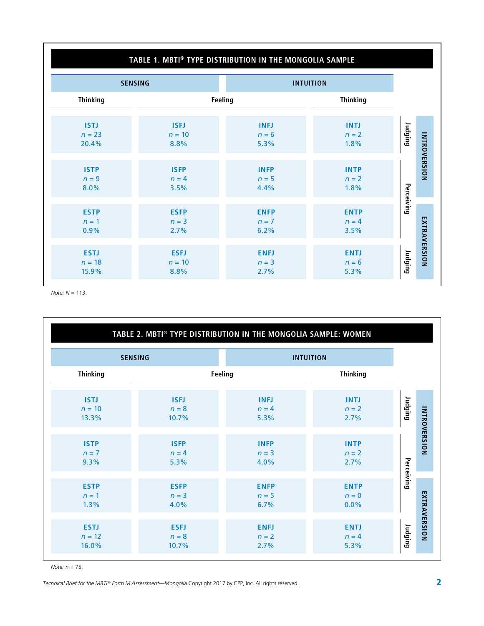| TABLE 1. MBTI® TYPE DISTRIBUTION IN THE MONGOLIA SAMPLE |                                 |                                |                                |                |              |  |  |
|---------------------------------------------------------|---------------------------------|--------------------------------|--------------------------------|----------------|--------------|--|--|
| <b>SENSING</b><br><b>INTUITION</b>                      |                                 |                                |                                |                |              |  |  |
| <b>Thinking</b>                                         |                                 | Feeling                        | <b>Thinking</b>                |                |              |  |  |
| <b>ISTJ</b><br>$n = 23$<br>20.4%                        | <b>ISFJ</b><br>$n = 10$<br>8.8% | <b>INFJ</b><br>$n = 6$<br>5.3% | <b>INTJ</b><br>$n = 2$<br>1.8% | <b>Judging</b> | INTROVERSION |  |  |
| <b>ISTP</b><br>$n = 9$<br>8.0%                          | <b>ISFP</b><br>$n = 4$<br>3.5%  | <b>INFP</b><br>$n = 5$<br>4.4% | <b>INTP</b><br>$n = 2$<br>1.8% | Perceiving     |              |  |  |
| <b>ESTP</b><br>$n = 1$<br>0.9%                          | <b>ESFP</b><br>$n = 3$<br>2.7%  | <b>ENFP</b><br>$n = 7$<br>6.2% | <b>ENTP</b><br>$n = 4$<br>3.5% |                |              |  |  |
| <b>ESTJ</b><br>$n = 18$<br>15.9%                        | <b>ESFJ</b><br>$n = 10$<br>8.8% | <b>ENFJ</b><br>$n = 3$<br>2.7% | <b>ENTJ</b><br>$n = 6$<br>5.3% | Judging        | EXTRAVERSION |  |  |

*Note: N* = 113.

|                                  |                                 | TABLE 2. MBTI® TYPE DISTRIBUTION IN THE MONGOLIA SAMPLE: WOMEN |                                |                                |
|----------------------------------|---------------------------------|----------------------------------------------------------------|--------------------------------|--------------------------------|
|                                  | <b>SENSING</b>                  |                                                                | <b>INTUITION</b>               |                                |
| <b>Thinking</b>                  |                                 | Feeling                                                        | <b>Thinking</b>                |                                |
| <b>ISTJ</b><br>$n = 10$<br>13.3% | <b>ISFJ</b><br>$n = 8$<br>10.7% | <b>INFJ</b><br>$n = 4$<br>5.3%                                 | <b>INTJ</b><br>$n = 2$<br>2.7% | Judging                        |
| <b>ISTP</b><br>$n = 7$<br>9.3%   | <b>ISFP</b><br>$n = 4$<br>5.3%  | <b>INFP</b><br>$n = 3$<br>4.0%                                 | <b>INTP</b><br>$n = 2$<br>2.7% | <b>INTROVERSION</b>            |
| <b>ESTP</b><br>$n = 1$<br>1.3%   | <b>ESFP</b><br>$n = 3$<br>4.0%  | <b>ENFP</b><br>$n=5$<br>6.7%                                   | <b>ENTP</b><br>$n = 0$<br>0.0% | Perceiving                     |
| <b>ESTJ</b><br>$n = 12$<br>16.0% | <b>ESFJ</b><br>$n = 8$<br>10.7% | <b>ENFJ</b><br>$n = 2$<br>2.7%                                 | <b>ENTJ</b><br>$n = 4$<br>5.3% | EXTRAVERSION<br><b>Judging</b> |

*Note: n* = 75.

*Technical Brief for the MBTI® Form M Assessment—Mongolia* Copyright 2017 by CPP, Inc. All rights reserved.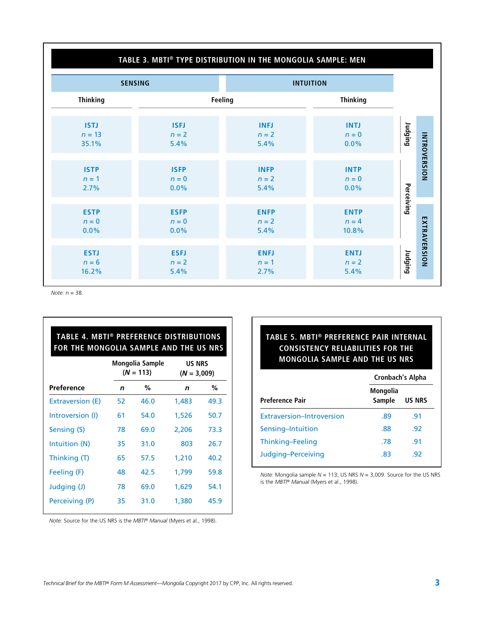#### **TABLE 3. MBTI® TYPE DISTRIBUTION IN THE MONGOLIA SAMPLE: MEN**

|                                   | <b>SENSING</b>                 |                                | <b>INTUITION</b>                |            |              |
|-----------------------------------|--------------------------------|--------------------------------|---------------------------------|------------|--------------|
| <b>Thinking</b>                   |                                | Feeling                        | <b>Thinking</b>                 |            |              |
| <b>ISTJ</b><br>$n = 13$<br>35.1%  | <b>ISFJ</b><br>$n = 2$<br>5.4% | <b>INFJ</b><br>$n = 2$<br>5.4% | <b>INTJ</b><br>$n = 0$<br>0.0%  | Judging    |              |
| <b>ISTP</b><br>$n = 1$<br>2.7%    | <b>ISFP</b><br>$n = 0$<br>0.0% | <b>INFP</b><br>$n = 2$<br>5.4% | <b>INTP</b><br>$n = 0$<br>0.0%  |            | INTROVERSION |
| <b>ESTP</b><br>$n = 0$<br>$0.0\%$ | <b>ESFP</b><br>$n = 0$<br>0.0% | <b>ENFP</b><br>$n = 2$<br>5.4% | <b>ENTP</b><br>$n = 4$<br>10.8% | Perceiving |              |
| <b>ESTJ</b><br>$n = 6$<br>16.2%   | <b>ESFJ</b><br>$n = 2$<br>5.4% | <b>ENFJ</b><br>$n = 1$<br>2.7% | <b>ENTJ</b><br>$n = 2$<br>5.4%  | Judging    | EXTRAVERSION |

*Note: n* = 38.

| TABLE 4. MBTI® PREFERENCE DISTRIBUTIONS<br>FOR THE MONGOLIA SAMPLE AND THE US NRS |    |                                |       |                                |  |  |  |  |
|-----------------------------------------------------------------------------------|----|--------------------------------|-------|--------------------------------|--|--|--|--|
|                                                                                   |    | Mongolia Sample<br>$(N = 113)$ |       | <b>US NRS</b><br>$(N = 3,009)$ |  |  |  |  |
| Preference                                                                        | n  | %                              | n     | ℅                              |  |  |  |  |
| <b>Extraversion (E)</b>                                                           | 52 | 46.0                           | 1,483 | 49.3                           |  |  |  |  |
| Introversion (I)                                                                  | 61 | 54.0                           | 1,526 | 50.7                           |  |  |  |  |
| Sensing (S)                                                                       | 78 | 69.0                           | 2,206 | 73.3                           |  |  |  |  |
| Intuition (N)                                                                     | 35 | 31.0                           | 803   | 26.7                           |  |  |  |  |
| Thinking (T)                                                                      | 65 | 57.5                           | 1.210 | 40.2                           |  |  |  |  |
| Feeling (F)                                                                       | 48 | 42.5                           | 1,799 | 59.8                           |  |  |  |  |
| Judging (J)                                                                       | 78 | 69.0                           | 1,629 | 54.1                           |  |  |  |  |
| Perceiving (P)                                                                    | 35 | 31.0                           | 1,380 | 45.9                           |  |  |  |  |

## **TABLE 5. MBTI® PREFERENCE PAIR INTERNAL CONSISTENCY RELIABILITIES FOR THE MONGOLIA SAMPLE AND THE US NRS**

|                           | Cronbach's Alpha   |               |  |  |
|---------------------------|--------------------|---------------|--|--|
| <b>Preference Pair</b>    | Mongolia<br>Sample | <b>US NRS</b> |  |  |
| Extraversion-Introversion | .89                | .91           |  |  |
| Sensing-Intuition         | .88                | .92           |  |  |
| Thinking-Feeling          | .78                | .91           |  |  |
| Judging-Perceiving        | .83                | .92           |  |  |

*Note:* Mongolia sample *N* = 113; US NRS *N* = 3,009. Source for the US NRS is the *MBTI® Manual* (Myers et al., 1998).

*Note:* Source for the US NRS is the *MBTI® Manual* (Myers et al., 1998).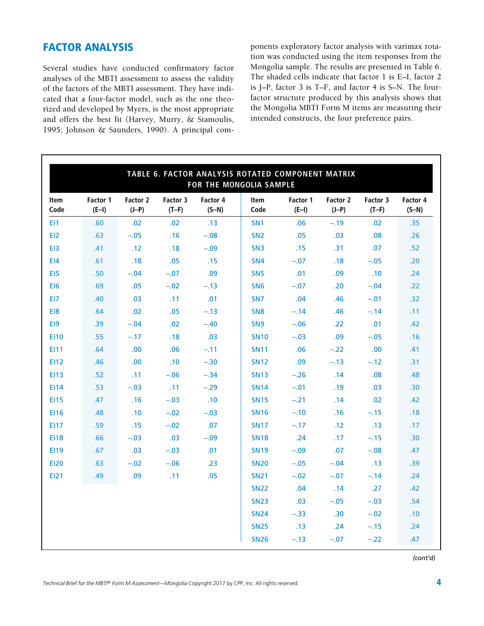# FACTOR ANALYSIS

Several studies have conducted confirmatory factor analyses of the MBTI assessment to assess the validity of the factors of the MBTI assessment. They have indicated that a four-factor model, such as the one theorized and developed by Myers, is the most appropriate and offers the best fit (Harvey, Murry, & Stamoulis, 1995; Johnson & Saunders, 1990). A principal components exploratory factor analysis with varimax rotation was conducted using the item responses from the Mongolia sample. The results are presented in Table 6. The shaded cells indicate that factor 1 is E–I, factor 2 is J–P, factor 3 is T–F, and factor 4 is S–N. The fourfactor structure produced by this analysis shows that the Mongolia MBTI Form M items are measuring their intended constructs, the four preference pairs.

| TABLE 6. FACTOR ANALYSIS ROTATED COMPONENT MATRIX<br>FOR THE MONGOLIA SAMPLE |                     |                     |                     |                     |                 |                     |                     |                     |                     |
|------------------------------------------------------------------------------|---------------------|---------------------|---------------------|---------------------|-----------------|---------------------|---------------------|---------------------|---------------------|
| Item<br>Code                                                                 | Factor 1<br>$(E-I)$ | Factor 2<br>$(J-P)$ | Factor 3<br>$(T-F)$ | Factor 4<br>$(S-N)$ | Item<br>Code    | Factor 1<br>$(E-I)$ | Factor 2<br>$(J-P)$ | Factor 3<br>$(T-F)$ | Factor 4<br>$(S-N)$ |
| EI1                                                                          | .60                 | .02                 | .02                 | .13                 | SN <sub>1</sub> | .06                 | $-.19$              | .02                 | .35                 |
| EI <sub>2</sub>                                                              | .63                 | $-.05$              | .16                 | $-.08$              | SN <sub>2</sub> | .05                 | .03                 | .08                 | .26                 |
| EI3                                                                          | .41                 | .12                 | .18                 | $-.09$              | SN <sub>3</sub> | .15                 | .31                 | .07                 | .52                 |
| E14                                                                          | .61                 | .18                 | .05                 | .15                 | SN <sub>4</sub> | $-.07$              | .18                 | $-.05$              | .20                 |
| EI5                                                                          | .50                 | $-.04$              | $-.07$              | .09                 | SN <sub>5</sub> | .01                 | .09                 | .10                 | .24                 |
| EI6                                                                          | .69                 | .05                 | $-.02$              | $-.13$              | SN <sub>6</sub> | $-.07$              | .20                 | $-.04$              | .22                 |
| EI7                                                                          | .40                 | .03                 | .11                 | .01                 | SN <sub>7</sub> | .04                 | .46                 | $-.01$              | .32                 |
| EI8                                                                          | .64                 | .02                 | .05                 | $-.13$              | SN <sub>8</sub> | $-.14$              | .46                 | $-.14$              | .11                 |
| EI9                                                                          | .39                 | $-.04$              | .02                 | $-.40$              | SN <sub>9</sub> | $-.06$              | .22                 | .01                 | .42                 |
| <b>EI10</b>                                                                  | .55                 | $-.17$              | .18                 | .03                 | <b>SN10</b>     | $-.03$              | .09                 | $-.05$              | .16                 |
| EI11                                                                         | .64                 | .00                 | .06                 | $-.11$              | <b>SN11</b>     | .06                 | $-.22$              | .00                 | .41                 |
| <b>EI12</b>                                                                  | .46                 | .00                 | .10                 | $-.30$              | <b>SN12</b>     | .09                 | $-.13$              | $-.12$              | .31                 |
| <b>EI13</b>                                                                  | .52                 | .11                 | $-.06$              | $-.34$              | <b>SN13</b>     | $-.26$              | .14                 | .08                 | .48                 |
| EI14                                                                         | .53                 | $-.03$              | .11                 | $-.29$              | <b>SN14</b>     | $-.01$              | .19                 | .03                 | .30 <sub>0</sub>    |
| <b>EI15</b>                                                                  | .47                 | .16                 | $-.03$              | .10                 | <b>SN15</b>     | $-.21$              | .14                 | .02                 | .42                 |
| <b>EI16</b>                                                                  | .48                 | .10                 | $-.02$              | $-.03$              | <b>SN16</b>     | $-.10$              | .16                 | $-.15$              | .18                 |
| <b>EI17</b>                                                                  | .59                 | .15                 | $-.02$              | .07                 | <b>SN17</b>     | $-.17$              | .12                 | .13                 | .17                 |
| <b>EI18</b>                                                                  | .66                 | $-.03$              | .03                 | $-.09$              | <b>SN18</b>     | .24                 | .17                 | $-.15$              | .30 <sub>0</sub>    |
| EI19                                                                         | .67                 | .03                 | $-.03$              | .01                 | <b>SN19</b>     | $-.09$              | .07                 | $-.08$              | .47                 |
| <b>EI20</b>                                                                  | .63                 | $-.02$              | $-.06$              | .23                 | <b>SN20</b>     | $-.05$              | $-.04$              | .13                 | .39                 |
| EI21                                                                         | .49                 | .09                 | .11                 | .05                 | <b>SN21</b>     | $-.02$              | $-.07$              | $-.14$              | .24                 |
|                                                                              |                     |                     |                     |                     | <b>SN22</b>     | .04                 | .14                 | .27                 | .42                 |
|                                                                              |                     |                     |                     |                     | <b>SN23</b>     | .03                 | $-.05$              | $-.03$              | .54                 |
|                                                                              |                     |                     |                     |                     | <b>SN24</b>     | $-.33$              | .30                 | $-.02$              | .10                 |
|                                                                              |                     |                     |                     |                     | <b>SN25</b>     | .13                 | .24                 | $-.15$              | .24                 |
|                                                                              |                     |                     |                     |                     | <b>SN26</b>     | $-.13$              | $-.07$              | $-.22$              | .47                 |

*(cont'd)*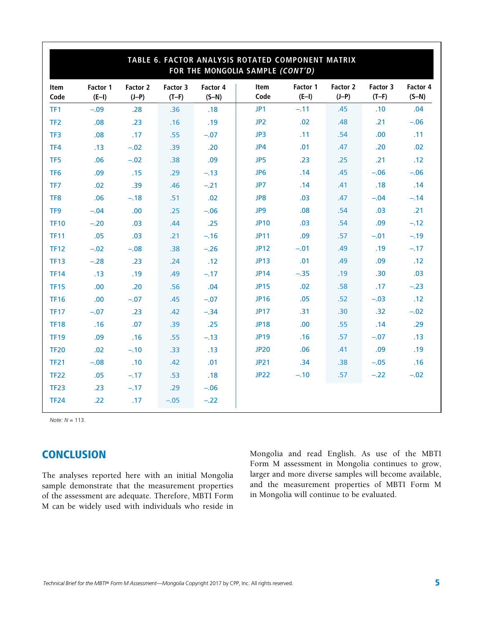| TABLE 6. FACTOR ANALYSIS ROTATED COMPONENT MATRIX<br>FOR THE MONGOLIA SAMPLE (CONT'D) |                     |                     |                     |                     |                 |                     |                     |                     |                     |
|---------------------------------------------------------------------------------------|---------------------|---------------------|---------------------|---------------------|-----------------|---------------------|---------------------|---------------------|---------------------|
| Item<br>Code                                                                          | Factor 1<br>$(E-I)$ | Factor 2<br>$(J-P)$ | Factor 3<br>$(T-F)$ | Factor 4<br>$(S-N)$ | Item<br>Code    | Factor 1<br>$(E-I)$ | Factor 2<br>$(J-P)$ | Factor 3<br>$(T-F)$ | Factor 4<br>$(S-N)$ |
| TF1                                                                                   | $-.09$              | .28                 | .36                 | .18                 | JP1             | $-.11$              | .45                 | .10                 | .04                 |
| TF <sub>2</sub>                                                                       | .08                 | .23                 | .16                 | .19                 | JP <sub>2</sub> | .02                 | .48                 | .21                 | $-.06$              |
| TF3                                                                                   | .08                 | .17                 | .55                 | $-.07$              | JP3             | .11                 | .54                 | .00                 | .11                 |
| TF4                                                                                   | .13                 | $-.02$              | .39                 | .20                 | JP4             | .01                 | .47                 | .20                 | .02                 |
| TF <sub>5</sub>                                                                       | .06                 | $-.02$              | .38                 | .09                 | JP5             | .23                 | .25                 | .21                 | .12                 |
| TF <sub>6</sub>                                                                       | .09                 | .15                 | .29                 | $-.13$              | JP <sub>6</sub> | .14                 | .45                 | $-.06$              | $-.06$              |
| TF7                                                                                   | .02                 | .39                 | .46                 | $-.21$              | JP7             | .14                 | .41                 | .18                 | .14                 |
| TF8                                                                                   | .06                 | $-.18$              | .51                 | .02                 | JP8             | .03                 | .47                 | $-.04$              | $-.14$              |
| TF9                                                                                   | $-.04$              | .00.                | .25                 | $-.06$              | JP9             | .08                 | .54                 | .03                 | .21                 |
| <b>TF10</b>                                                                           | $-.20$              | .03                 | .44                 | .25                 | <b>JP10</b>     | .03                 | .54                 | .09                 | $-.12$              |
| <b>TF11</b>                                                                           | .05                 | .03                 | .21                 | $-.16$              | <b>JP11</b>     | .09                 | .57                 | $-.01$              | $-.19$              |
| <b>TF12</b>                                                                           | $-.02$              | $-.08$              | .38                 | $-.26$              | <b>JP12</b>     | $-.01$              | .49                 | .19                 | $-.17$              |
| <b>TF13</b>                                                                           | $-.28$              | .23                 | .24                 | .12                 | <b>JP13</b>     | .01                 | .49                 | .09                 | .12                 |
| <b>TF14</b>                                                                           | .13                 | .19                 | .49                 | $-.17$              | <b>JP14</b>     | $-.35$              | .19                 | .30                 | .03                 |
| <b>TF15</b>                                                                           | .00                 | .20                 | .56                 | .04                 | <b>JP15</b>     | .02                 | .58                 | .17                 | $-.23$              |
| <b>TF16</b>                                                                           | .00                 | $-.07$              | .45                 | $-.07$              | <b>JP16</b>     | .05                 | .52                 | $-.03$              | .12                 |
| <b>TF17</b>                                                                           | $-.07$              | .23                 | .42                 | $-.34$              | <b>JP17</b>     | .31                 | .30                 | .32                 | $-.02$              |
| <b>TF18</b>                                                                           | .16                 | .07                 | .39                 | .25                 | <b>JP18</b>     | .00                 | .55                 | .14                 | .29                 |
| <b>TF19</b>                                                                           | .09                 | .16                 | .55                 | $-.13$              | <b>JP19</b>     | .16                 | .57                 | $-.07$              | .13                 |
| <b>TF20</b>                                                                           | .02                 | $-.10$              | .33                 | .13                 | <b>JP20</b>     | .06                 | .41                 | .09                 | .19                 |
| <b>TF21</b>                                                                           | $-.08$              | .10                 | .42                 | .01                 | <b>JP21</b>     | .34                 | .38                 | $-.05$              | .16                 |
| <b>TF22</b>                                                                           | .05                 | $-.17$              | .53                 | .18                 | <b>JP22</b>     | $-.10$              | .57                 | $-.22$              | $-.02$              |
| <b>TF23</b>                                                                           | .23                 | $-.17$              | .29                 | $-.06$              |                 |                     |                     |                     |                     |
| <b>TF24</b>                                                                           | .22                 | .17                 | $-.05$              | $-.22$              |                 |                     |                     |                     |                     |

*Note: N* = 113.

## **CONCLUSION**

The analyses reported here with an initial Mongolia sample demonstrate that the measurement properties of the assessment are adequate. Therefore, MBTI Form M can be widely used with individuals who reside in

Mongolia and read English. As use of the MBTI Form M assessment in Mongolia continues to grow, larger and more diverse samples will become available, and the measurement properties of MBTI Form M in Mongolia will continue to be evaluated.